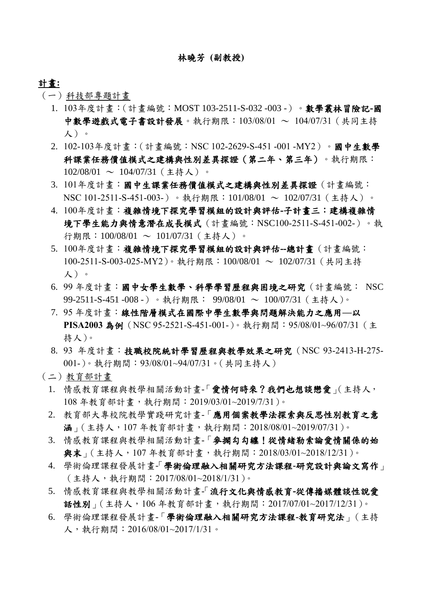#### 林曉芳 **(**副教授**)**

### 計畫**:**

- (一)科技部專題計畫
	- 1. 103年度計畫:(計畫編號:MOST 103-2511-S-032 -003 -)。數學叢林冒險記**-**國 中數學遊戲式電子書設計發展。執行期限:103/08/01 ~ 104/07/31 (共同主持 人)。
	- 2. 102-103年度計畫:(計畫編號:NSC 102-2629-S-451 -001 -MY2)。國中生數學 科課業任務價值模式之建構與性別差異探證(第二年、第三年)。執行期限:  $102/08/01 \sim 104/07/31$  (主持人)。
	- 3. 101年度計畫:國中生課業任務價值模式之建構與性別差異探證(計畫編號: NSC 101-2511-S-451-003-)。執行期限:101/08/01 ~ 102/07/31(主持人)。
	- 4. 100年度計畫:複雜情境下探究學習模組的設計與評估**-**子計畫三:建構複雜情 境下學生能力與情意潛在成長模式(計畫編號:NSC100-2511-S-451-002-)。執 行期限:100/08/01 ~ 101/07/31(主持人)。
	- 5. 100年度計畫:複雜情境下探究學習模組的設計與評估**--**總計畫(計畫編號: 100-2511-S-003-025-MY2)。執行期限:100/08/01 ~ 102/07/31(共同主持 人)。
	- 6. 99 年度計畫:國中女學生數學、科學學習歷程與困境之研究(計畫編號: NSC 99-2511-S-451 -008 -)。執行期限: 99/08/01 ~ 100/07/31 (主持人)。
	- 7. 95 年度計畫:線性階層模式在國際中學生數學與問題解決能力之應用**—**以 **PISA2003** 為例(NSC 95-2521-S-451-001-)。執行期間:95/08/01~96/07/31(主 持人)。
	- 8. 93 年度計畫:技職校院統計學習歷程與教學效果之研究(NSC 93-2413-H-275- 001-)。執行期間:93/08/01~94/07/31。(共同主持人)
- (二)教育部計畫
	- 1. 情感教育課程與教學相關活動計畫-「愛情何時來?我們也想談戀愛」(主持人, 108 年教育部計畫,執行期間:2019/03/01~2019/7/31)。
	- 2. 教育部大專校院教學實踐研究計畫-「應用個案教學法探索與反思性別教育之意 涵」(主持人,107 年教育部計畫,執行期間:2018/08/01~2019/07/31)。
	- 3. 情感教育課程與教學相關活動計畫-「麥擱勾勾纏!從情緒勒索論愛情關係的始 與末」(主持人,107 年教育部計畫,執行期間:2018/03/01~2018/12/31)。
	- 4. 學術倫理課程發展計畫「- 學術倫理融入相關研究方法課程**-**研究設計與論文寫作」 (主持人,執行期間:2017/08/01~2018/1/31)。
	- 5. 情感教育課程與教學相關活動計書- 流行文化與情感教育-從傳播媒體談性說愛 話性別」(主持人,106 年教育部計畫,執行期間:2017/07/01~2017/12/31)。
	- 6. 學術倫理課程發展計畫-「學術倫理融入相關研究方法課程**-**教育研究法」(主持 人,執行期間:2016/08/01~2017/1/31。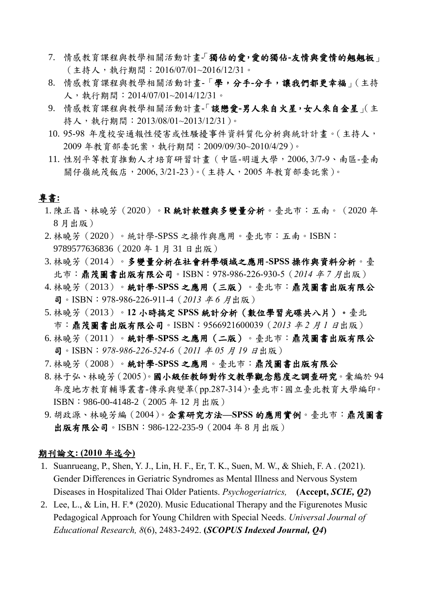- 7. 情感教育課程與教學相關活動計畫「- 獨佔的愛,愛的獨佔**-**友情與愛情的翹翹板」 (主持人,執行期間:2016/07/01~2016/12/31。
- 8. 情感教育課程與教學相關活動計畫-「學,分手**-**分手,讓我們都更幸福」(主持 人,執行期間:2014/07/01~2014/12/31。
- 9. 情感教育課程與教學相關活動計畫-「談戀愛**-**男人來自火星,女人來自金星」(主 持人,執行期間:2013/08/01~2013/12/31)。
- 10.95-98 年度校安通報性侵害或性騷擾事件資料質化分析與統計計畫。(主持人, 2009 年教育部委託案,執行期間:2009/09/30~2010/4/29)。
- 11. 性別平等教育推動人才培育研習計畫(中區-明道大學,2006, 3/7-9、南區-臺南 關仔嶺統茂飯店,2006, 3/21-23)。(主持人,2005 年教育部委託案)。

# 專書**:**

- 1. 陳正昌、林曉芳(2020)。**R** 統計軟體與多變量分析。臺北市:五南。(2020 年 8 月出版)
- 2. 林曉芳(2020)。統計學-SPSS 之操作與應用。臺北市:五南。ISBN: 9789577636836(2020 年 1 月 31 日出版)
- 3. 林曉芳(2014)。多變量分析在社會科學領域之應用**-SPSS** 操作與資料分析。臺 北市:鼎茂圖書出版有限公司。ISBN:978-986-226-930-5(*2014* 年 *7* 月出版)
- 4. 林曉芳(2013)。統計學**-SPSS** 之應用(三版)。臺北市:鼎茂圖書出版有限公 司。ISBN:978-986-226-911-4(*2013* 年 *6* 月出版)
- 5. 林曉芳(2013)。**12** 小時搞定 **SPSS** 統計分析(數位學習光碟共八片)。臺北 市:鼎茂圖書出版有限公司。ISBN:9566921600039(*2013* 年 *2* 月 *1* <sup>日</sup>出版)
- 6. 林曉芳(2011)。統計學**-SPSS** 之應用(二版)。臺北市:鼎茂圖書出版有限公 司。ISBN:*978-986-226-524-6*(*2011* 年 *05* 月 *19* <sup>日</sup>出版)
- 7. 林曉芳(2008)。統計學**-SPSS** 之應用。臺北市:鼎茂圖書出版有限公
- 8. 林于弘、林曉芳(2005)。國小級任教師對作文教學觀念態度之調查研究。彙編於 94 年度地方教育輔導叢書-傳承與變革(pp.287-314),臺北市:國立臺北教育大學編印。 ISBN:986-00-4148-2(2005 年 12 月出版)
- 9. 胡政源、林曉芳編(2004)。企業研究方法**—SPSS** 的應用實例。臺北市:鼎茂圖書 出版有限公司。ISBN: 986-122-235-9 (2004年8月出版)

### 期刊論文**: (2010** 年迄今**)**

- 1. Suanrueang, P., Shen, Y. J., Lin, H. F., Er, T. K., Suen, M. W., & Shieh, F. A . (2021). Gender Differences in Geriatric Syndromes as Mental Illness and Nervous System Diseases in Hospitalized Thai Older Patients. *Psychogeriatrics,* **(Accept,** *SCIE, Q2***)**
- 2. Lee, L., & Lin, H. F.\* (2020). Music Educational Therapy and the Figurenotes Music Pedagogical Approach for Young Children with Special Needs. *Universal Journal of Educational Research, 8*(6), 2483-2492. **(***SCOPUS Indexed Journal, Q4***)**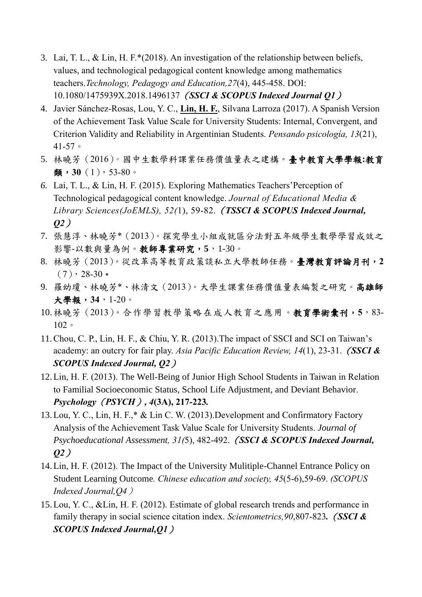- 3. Lai, T. L., & Lin, H. F.\*(2018). An investigation of the relationship between beliefs, values, and technological pedagogical content knowledge among mathematics teachers.*Technology, Pedagogy and Education,27*(4), 445-458. DOI: 10.1080/1475939X.2018.1496137(*SSCI & SCOPUS Indexed Journal Q1*)
- 4. Javier Sánchez-Rosas, Lou, Y. C., **Lin, H. F.**, Silvana Larroza (2017). A Spanish Version of the Achievement Task Value Scale for University Students: Internal, Convergent, and Criterion Validity and Reliability in Argentinian Students. *Pensando psicología, 13*(21), 41-57。
- 5. 林曉芳(2016)。國中生數學科課業任務價值量表之建構。臺中教育大學學報**:**教育 類,**30**(1),53-80。
- *6.* Lai, T. L., & Lin, H. F. (2015). Exploring Mathematics Teachers'Perception of Technological pedagogical content knowledge. *Journal of Educational Media & Library Sciences(JoEMLS), 52(*1), 59-82.(*TSSCI & SCOPUS Indexed Journal, Q2*)
- 7. 張慧淳、林曉芳\*(2013)。探究學生小組成就區分法對五年級學生數學學習成效之 影響-以數與量為例。教師專業研究,**5**,1-30。
- 8. 林曉芳(2013)。從改革高等教育政策談私立大學教師任務。臺灣教育評論月刊,**2**  $(7)$ , 28-30.
- 9. 羅幼瓊、林曉芳\*、林清文(2013)。大學生課業任務價值量表編製之研究。高雄師 大學報,**34**,1-20。
- 10.林曉芳(2013)。合作學習教學策略在成人教育之應用。教育學術彙刊,**5**,83- 102。
- 11.Chou, C. P., Lin, H. F., & Chiu, Y. R. (2013).The impact of SSCI and SCI on Taiwan's academy: an outcry for fair play. *Asia Pacific Education Review, 14*(1), 23-31.(*SSCI & SCOPUS Indexed Journal, Q2*)
- 12.Lin, H. F. (2013). The Well-Being of Junior High School Students in Taiwan in Relation to Familial Socioeconomic Status, School Life Adjustment, and Deviant Behavior. *Psychology*(*PSYCH*)*, 4***(3A), 217-223***.*
- 13.Lou, Y. C., Lin, H. F.,\* & Lin C. W. (2013).Development and Confirmatory Factory Analysis of the Achievement Task Value Scale for University Students. *Journal of Psychoeducational Assessment, 31(*5), 482-492.(*SSCI & SCOPUS Indexed Journal, Q2*)
- 14.Lin, H. F. (2012). The Impact of the University Mulitiple-Channel Entrance Policy on Student Learning Outcome*. Chinese education and society, 45*(5-6),59-69. *(SCOPUS Indexed Journal,Q4*)
- 15.Lou, Y. C., &Lin, H. F. (2012). Estimate of global research trends and performance in family therapy in social science citation index. *Scientometrics,90*,807-823*.*(*SSCI & SCOPUS Indexed Journal,Q1*)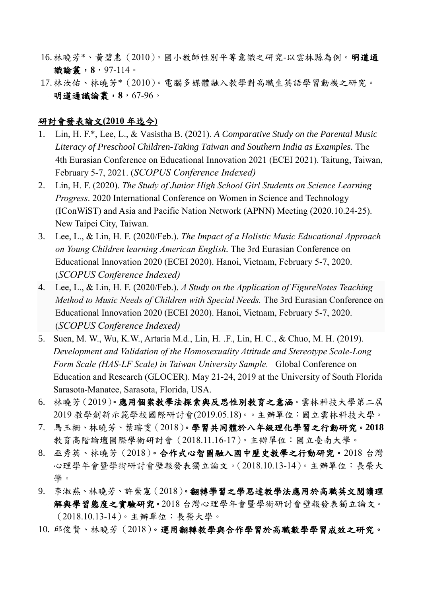- 16.林曉芳\*、黃碧惠(2010)。國小教師性別平等意識之研究-以雲林縣為例。明道通 識論叢,**8**,97-114。
- 17.林汝佑、林曉芳\*(2010)。電腦多媒體融入教學對高職生英語學習動機之研究。 明道通識論叢,**8**,67-96。

## 研討會發表論文**(2010** 年迄今**)**

- 1. Lin, H. F.\*, Lee, L., & Vasistha B. (2021). *A Comparative Study on the Parental Music Literacy of Preschool Children-Taking Taiwan and Southern India as Examples.* The 4th Eurasian Conference on Educational Innovation 2021 (ECEI 2021). Taitung, Taiwan, February 5-7, 2021. (*SCOPUS Conference Indexed)*
- 2. Lin, H. F. (2020). *The Study of Junior High School Girl Students on Science Learning Progress*. 2020 International Conference on Women in Science and Technology (IConWiST) and Asia and Pacific Nation Network (APNN) Meeting (2020.10.24-25). New Taipei City, Taiwan.
- 3. Lee, L., & Lin, H. F. (2020/Feb.). *The Impact of a Holistic Music Educational Approach on Young Children learning American English.* The 3rd Eurasian Conference on Educational Innovation 2020 (ECEI 2020). Hanoi, Vietnam, February 5-7, 2020. (*SCOPUS Conference Indexed)*
- 4. Lee, L., & Lin, H. F. (2020/Feb.). *A Study on the Application of FigureNotes Teaching Method to Music Needs of Children with Special Needs.* The 3rd Eurasian Conference on Educational Innovation 2020 (ECEI 2020). Hanoi, Vietnam, February 5-7, 2020. (*SCOPUS Conference Indexed)*
- 5. Suen, M. W., Wu, K.W., Artaria M.d., Lin, H. .F., Lin, H. C., & Chuo, M. H. (2019). *Development and Validation of the Homosexuality Attitude and Stereotype Scale-Long Form Scale (HAS-LF Scale) in Taiwan University Sample.* Global Conference on Education and Research (GLOCER). May 21-24, 2019 at the University of South Florida Sarasota-Manatee, Sarasota, Florida, USA.
- 6. 林曉芳(2019)。應用個案教學法探索與反思性別教育之意涵。雲林科技大學第二屆 2019 教學創新示範學校國際研討會(2019.05.18)。。主辦單位:國立雲林科技大學。
- 7. 馬玉柵、林曉芳、葉璿雯(2018)。學習共同體於八年級理化學習之行動研究。**2018** 教育高階論壇國際學術研討會(2018.11.16-17)。主辦單位:國立臺南大學。
- 8. 巫秀英、林曉芳(2018)。合作式心智圖融入國中歷史教學之行動研究。2018 台灣 心理學年會暨學術研討會壁報發表獨立論文。(2018.10.13-14)。主辦單位:長榮大 學。
- 9. 李淑燕、林曉芳、許崇憲(2018)。翻轉學習之學思達教學法應用於高職英文閱讀理 解與學習態度之實驗研究。2018 台灣心理學年會暨學術研討會壁報發表獨立論文。 (2018.10.13-14)。主辦單位:長榮大學。
- 10. 邱俊賢、林曉芳(2018)。運用翻轉教學與合作學習於高職數學學習成效之研究。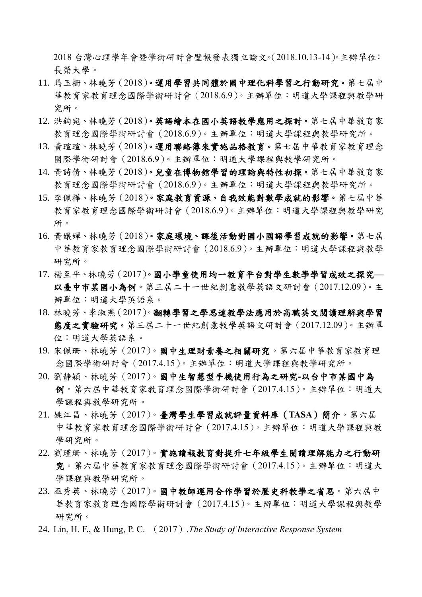2018 台灣心理學年會暨學術研討會壁報發表獨立論文。(2018.10.13-14)。主辦單位: 長榮大學。

- 11. 馬玉柵、林曉芳(2018)。運用學習共同體於國中理化科學習之行動研究。第七屆中 華教育家教育理念國際學術研討會(2018.6.9)。主辦單位:明道大學課程與教學研 究所。
- 12. 洪鈞宛、林曉芳(2018)。英語繪本在國小英語教學應用之探討。第七屆中華教育家 教育理念國際學術研討會(2018.6.9)。主辦單位:明道大學課程與教學研究所。
- 13. 黃瑄瑄、林曉芳(2018)。運用聯絡簿來實施品格教育。第七屆中華教育家教育理念 國際學術研討會(2018.6.9)。主辦單位:明道大學課程與教學研究所。
- 14. 黃詩倩、林曉芳(2018)。兒童在博物館學習的理論與特性初探。第七屆中華教育家 教育理念國際學術研討會(2018.6.9)。主辦單位:明道大學課程與教學研究所。
- 15. 李佩樺、林曉芳(2018)。家庭教育資源、自我效能對數學成就的影響。第七屆中華 教育家教育理念國際學術研討會(2018.6.9)。主辦單位:明道大學課程與教學研究 所。
- 16. 黃孃嬋、林曉芳(2018)。家庭環境、課後活動對國小國語學習成就的影響。第七屆 中華教育家教育理念國際學術研討會(2018.6.9)。主辦單位:明道大學課程與教學 研究所。
- 17. 楊至平、林曉芳(2017)。國小學童使用均一教育平台對學生數學學習成效之探究**—** 以臺中市某國小為例。第三屆二十一世紀創意教學英語文研討會(2017.12.09)。主 辦單位:明道大學英語系。
- 18. 林曉芳、李淑燕(2017)。翻轉學習之學思達教學法應用於高職英文閱讀理解與學習 態度之實驗研究。第三屆二十一世紀創意教學英語文研討會(2017.12.09)。主辦單 位:明道大學英語系。
- 19. 宋佩珊、林曉芳(2017)。國中生理財素養之相關研究。第六屆中華教育家教育理 念國際學術研討會(2017.4.15)。主辦單位:明道大學課程與教學研究所。
- 20. 劉靜穎、林曉芳(2017)。國中生智慧型手機使用行為之研究**-**以台中市某國中為 例。第六屆中華教育家教育理念國際學術研討會(2017.4.15)。主辦單位:明道大 學課程與教學研究所。
- 21. 姚江昌、林曉芳(2017)。臺灣學生學習成就評量資料庫(**TASA**)簡介。第六屆 中華教育家教育理念國際學術研討會(2017.4.15)。主辦單位:明道大學課程與教 學研究所。
- 22. 劉瑾珊、林曉芳(2017)。實施讀報教育對提升七年級學生閱讀理解能力之行動研 究。第六屆中華教育家教育理念國際學術研討會(2017.4.15)。主辦單位:明道大 學課程與教學研究所。
- 23. 巫秀英、林曉芳 (2017)。國中教師運用合作學習於歷史科教學之省思。第六屆中 華教育家教育理念國際學術研討會(2017.4.15)。主辦單位:明道大學課程與教學 研究所。
- 24. Lin, H. F., & Hung, P. C. (2017).*The Study of Interactive Response System*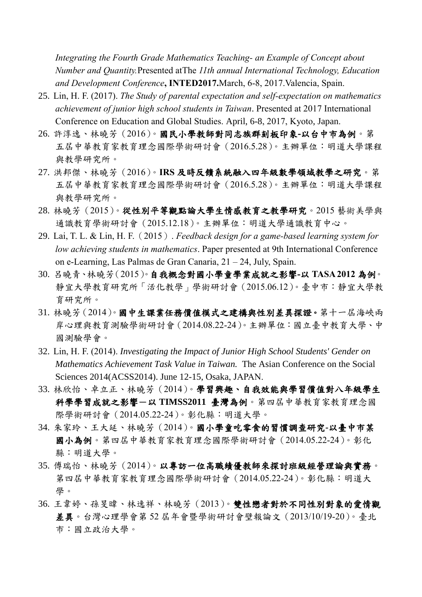*Integrating the Fourth Grade Mathematics Teaching- an Example of Concept about Number and Quantity.*Presented atThe *11th annual International Technology, Education and Development Conference***, INTED2017.**March, 6-8, 2017.Valencia, Spain.

- 25. Lin, H. F. (2017). *The Study of parental expectation and self-expectation on mathematics achievement of junior high school students in Taiwan*. Presented at 2017 International Conference on Education and Global Studies. April, 6-8, 2017, Kyoto, Japan.
- 26. 許淳逸、林曉芳(2016)。國民小學教師對同志族群刻板印象**-**以台中市為例。第 五屆中華教育家教育理念國際學術研討會(2016.5.28)。主辦單位:明道大學課程 與教學研究所。
- 27. 洪邦傑、林曉芳(2016)。**IRS** 及時反饋系統融入四年級數學領域教學之研究。第 五屆中華教育家教育理念國際學術研討會(2016.5.28)。主辦單位:明道大學課程 與教學研究所。
- 28. 林曉芳(2015)。從性別平等觀點論大學生情感教育之教學研究。2015 藝術美學與 通識教育學術研討會(2015.12.18)。主辦單位:明道大學通識教育中心。
- 29. Lai, T. L. & Lin, H. F.(2015). *Feedback design for a game-based learning system for low achieving students in mathematics*. Paper presented at 9th International Conference on e-Learning, Las Palmas de Gran Canaria, 21 – 24, July, Spain.
- 30. 呂曉青、林曉芳(2015)。自我概念對國小學童學業成就之影響**-**以 **TASA 2012** 為例。 靜宜大學教育研究所「活化教學」學術研討會(2015.06.12)。臺中市:靜宜大學教 育研究所。
- 31. 林曉芳(2014)。國中生課業任務價值模式之建構與性別差異探證。第十一屆海峽兩 岸心理與教育測驗學術研討會(2014.08.22-24)。主辦單位:國立臺中教育大學、中 國測驗學會。
- 32. Lin, H. F. (2014). *Investigating the Impact of Junior High School Students' Gender on Mathematics Achievement Task Value in Taiwan.* The Asian Conference on the Social Sciences 2014(ACSS2014). June 12-15, Osaka, JAPAN.
- 33. 林欣怡、卓立正、林曉芳(2014)。學習興趣、自我效能與學習價值對八年級學生 科學學習成就之影響-以 **TIMSS2011** 臺灣為例。第四屆中華教育家教育理念國 際學術研討會(2014.05.22-24)。彰化縣:明道大學。
- 34. 朱家玲、王大延、林曉芳(2014)。國小學童吃零食的習慣調查研究**-**以臺中市某 國小為例。第四屆中華教育家教育理念國際學術研討會(2014.05.22-24)。彰化 縣:明道大學。
- 35. 傅瑞怡、林曉芳(2014)。以專訪一位高職績優教師來探討班級經營理論與實務。 第四屆中華教育家教育理念國際學術研討會(2014.05.22-24)。彰化縣:明道大 學。
- 36. 王韋婷、孫旻暐、林逸祥、林曉芳(2013)。雙性戀者對於不同性別對象的愛情觀 差異。台灣心理學會第 52 屆年會暨學術研討會壁報論文(2013/10/19-20)。臺北 市:國立政治大學。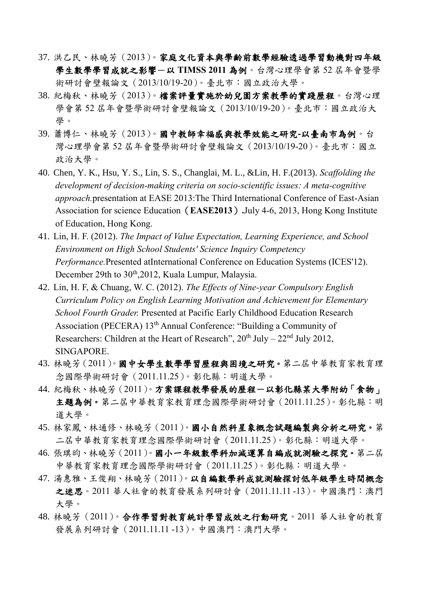- 37. 洪乙民、林曉芳(2013)。家庭文化資本與學齡前數學經驗透過學習動機對四年級 學生數學學習成就之影響-以 **TIMSS 2011** 為例。台灣心理學會第 52 屆年會暨學 術研討會壁報論文(2013/10/19-20)。臺北市:國立政治大學。
- 38. 紀梅秋、林曉芳(2013)。檔案評量實施於幼兒園方案教學的實踐歷程。台灣心理 學會第 52 屆年會暨學術研討會壁報論文(2013/10/19-20)。臺北市:國立政治大 學。
- 39. 蕭博仁、林曉芳(2013)。國中教師幸福感與教學效能之研究**-**以臺南市為例。台 灣心理學會第 52 屆年會暨學術研討會壁報論文(2013/10/19-20)。臺北市:國立 政治大學。
- 40. Chen, Y. K., Hsu, Y. S., Lin, S. S., Changlai, M. L., &Lin, H. F.(2013). *Scaffolding the development of decision-making criteria on socio-scientific issues: A meta-cognitive approach.*presentation at EASE 2013:The Third International Conference of East-Asian Association for science Education(**EASE2013**)**.**July 4-6, 2013, Hong Kong Institute of Education, Hong Kong.
- 41. Lin, H. F. (2012). *The Impact of Value Expectation, Learning Experience, and School Environment on High School Students' Science Inquiry Competency Performance.*Presented atInternational Conference on Education Systems (ICES'12). December 29th to 30<sup>th</sup>,2012, Kuala Lumpur, Malaysia.
- 42. Lin, H. F, & Chuang, W. C. (2012). *The Effects of Nine-year Compulsory English Curriculum Policy on English Learning Motivation and Achievement for Elementary School Fourth Grader.* Presented at Pacific Early Childhood Education Research Association (PECERA) 13<sup>th</sup> Annual Conference: "Building a Community of Researchers: Children at the Heart of Research",  $20<sup>th</sup>$  July  $-22<sup>nd</sup>$  July 2012, SINGAPORE.
- 43. 林曉芳(2011)。國中女學生數學學習歷程與困境之研究。第二屆中華教育家教育理 念國際學術研討會(2011.11.25)。彰化縣:明道大學。
- 44. 紀梅秋、林曉芳(2011)。方案課程教學發展的歷程一以彰化縣某大學附幼「食物」 主題為例。第二屆中華教育家教育理念國際學術研討會(2011.11.25)。彰化縣:明 道大學。
- 45. 林家鳳、林通修、林曉芳(2011)。國小自然科星象概念試題編製與分析之研究。第 二屆中華教育家教育理念國際學術研討會(2011.11.25)。彰化縣:明道大學。
- 46. 張琪昀、林曉芳(2011)。國小一年級數學科加減運算自編成就測驗之探究。第二屆 中華教育家教育理念國際學術研討會(2011.11.25)。彰化縣:明道大學。
- 47. 湯惠雅、王俊翔、林曉芳(2011)。以自編數學科成就測驗探討低年級學生時間概念 之迷思。2011 華人社會的教育發展系列研討會(2011.11.11 -13)。中國澳門:澳門 大學。
- 48. 林曉芳(2011)。合作學習對教育統計學習成效之行動研究。2011 華人社會的教育 發展系列研討會(2011.11.11 -13)。中國澳門:澳門大學。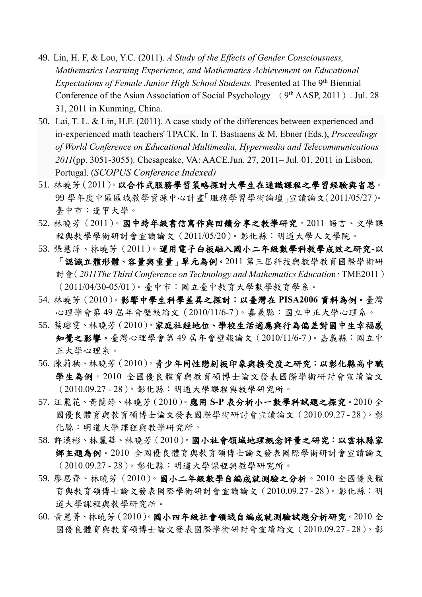- 49. Lin, H. F, & Lou, Y.C. (2011). *A Study of the Effects of Gender Consciousness, Mathematics Learning Experience, and Mathematics Achievement on Educational Expectations of Female Junior High School Students.* Presented at The 9<sup>th</sup> Biennial Conference of the Asian Association of Social Psychology (9<sup>th</sup> AASP, 2011). Jul. 28-31, 2011 in Kunming, China.
- 50. Lai, T. L. & Lin, H.F. (2011). A case study of the differences between experienced and in-experienced math teachers' TPACK. In T. Bastiaens & M. Ebner (Eds.), *Proceedings of World Conference on Educational Multimedia, Hypermedia and Telecommunications 2011*(pp. 3051-3055). Chesapeake, VA: AACE.Jun. 27, 2011– Jul. 01, 2011 in Lisbon, Portugal. (*SCOPUS Conference Indexed)*
- 51. 林曉芳(2011)。以合作式服務學習策略探討大學生在通識課程之學習經驗與省思。 99 學年度中區區域教學資源中心計畫「服務學習學術論壇」宣讀論文(2011/05/27)。 臺中市:逢甲大學。
- 52. 林曉芳(2011)。國中跨年級書信寫作與回饋分享之教學研究。2011 語言、文學課 程與教學學術研討會宣讀論文(2011/05/20)。彰化縣:明道大學人文學院。
- 53. 張慧淳、林曉芳(2011)。運用電子白板融入國小二年級數學科教學成效之研究**-**以 「認識立體形體、容量與重量」單元為例。2011 第三屆科技與數學教育國際學術研 討會(*2011The Third Conference on Technology and Mathematics Educatio*n,TME2011) (2011/04/30-05/01)。臺中市:國立臺中教育大學數學教育學系。
- 54. 林曉芳(2010)。影響中學生科學差異之探討:以臺灣在 **PISA2006** 資料為例。臺灣 心理學會第 49 屆年會壁報論文(2010/11/6-7)。嘉義縣:國立中正大學心理系。
- 55. 葉璿雯、林曉芳(2010)。家庭社經地位、學校生活適應與行為偏差對國中生幸福感 知覺之影響。臺灣心理學會第 49 屆年會壁報論文(2010/11/6-7)。嘉義縣:國立中 正大學心理系。
- 56. 陳莉秧、林曉芳(2010)。青少年同性戀刻板印象與接受度之研究:以彰化縣高中職 學生為例。2010 全國優良體育與教育碩博士論文發表國際學術研討會宣讀論文 (2010.09.27 - 28)。彰化縣:明道大學課程與教學研究所。
- 57. 汪麗花、黃蘭婷、林曉芳(2010)。應用 **S-P** 表分析小一數學科試題之探究。2010 全 國優良體育與教育碩博士論文發表國際學術研討會宣讀論文(2010.09.27 - 28)。彰 化縣:明道大學課程與教學研究所。
- 58. 許漢彬、林麗華、林曉芳(2010)。國小社會領域地理概念評量之研究:以雲林縣家 鄉主題為例。2010 全國優良體育與教育碩博士論文發表國際學術研討會宣讀論文 (2010.09.27 - 28)。彰化縣:明道大學課程與教學研究所。
- 59. 廖思齊、林曉芳(2010)。國小二年級數學自編成就測驗之分析。2010 全國優良體 育與教育碩博士論文發表國際學術研討會宣讀論文(2010.09.27 - 28)。彰化縣:明 道大學課程與教學研究所。
- 60. 黃麗菁、林曉芳(2010)。國小四年級社會領域自編成就測驗試題分析研究。2010 全 國優良體育與教育碩博士論文發表國際學術研討會宣讀論文(2010.09.27 - 28)。彰